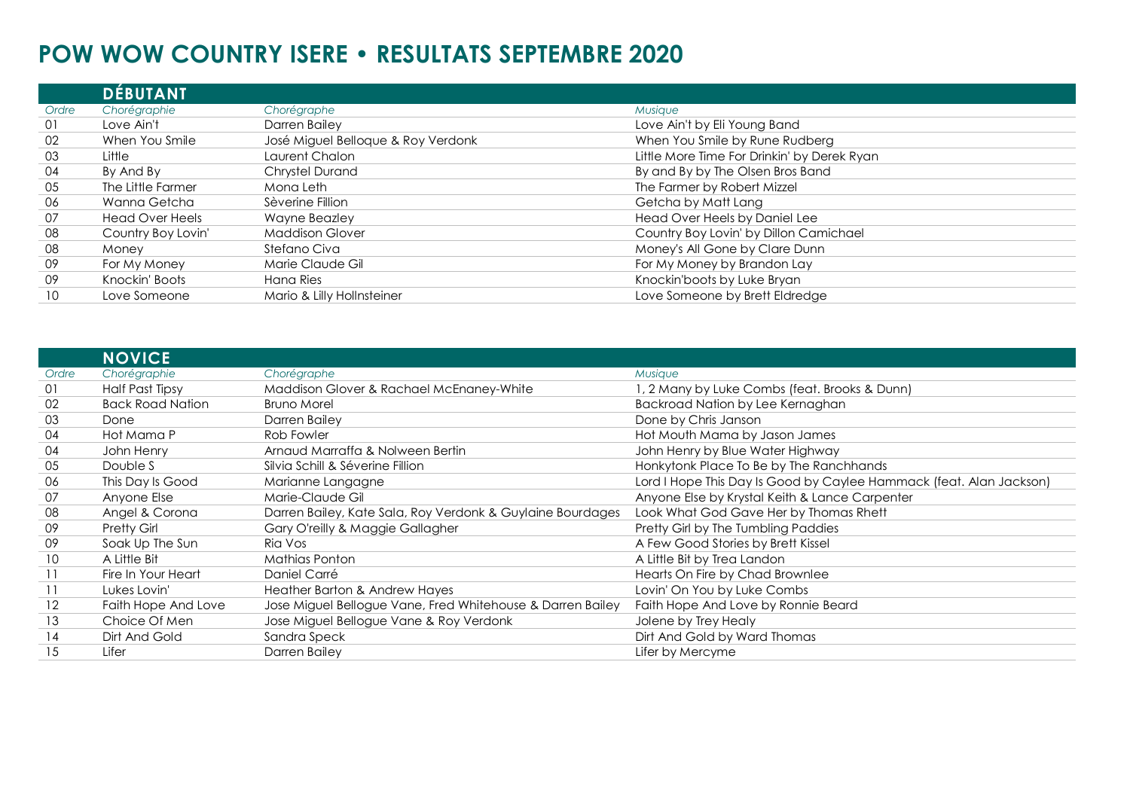## **POW WOW COUNTRY ISERE • RESULTATS SEPTEMBRE 2020**

|       | <b>DEBUTANT</b>        |                                    |                                             |
|-------|------------------------|------------------------------------|---------------------------------------------|
| Ordre | Chorégraphie           | Chorégraphe                        | Musique                                     |
| 01    | Love Ain't             | Darren Bailey                      | Love Ain't by Eli Young Band                |
| 02    | When You Smile         | José Miguel Belloque & Roy Verdonk | When You Smile by Rune Rudberg              |
| 03    | Little                 | Laurent Chalon                     | Little More Time For Drinkin' by Derek Ryan |
| 04    | By And By              | <b>Chrystel Durand</b>             | By and By by The Olsen Bros Band            |
| 05    | The Little Farmer      | Mona Leth                          | The Farmer by Robert Mizzel                 |
| 06    | Wanna Getcha           | Sèverine Fillion                   | Getcha by Matt Lang                         |
| 07    | <b>Head Over Heels</b> | Wayne Beazley                      | Head Over Heels by Daniel Lee               |
| 08    | Country Boy Lovin'     | <b>Maddison Glover</b>             | Country Boy Lovin' by Dillon Camichael      |
| 08    | Money                  | Stefano Civa                       | Money's All Gone by Clare Dunn              |
| 09    | For My Money           | Marie Claude Gil                   | For My Money by Brandon Lay                 |
| 09    | Knockin' Boots         | Hana Ries                          | Knockin'boots by Luke Bryan                 |
| 10    | Love Someone           | Mario & Lilly Hollnsteiner         | Love Someone by Brett Eldredge              |

|                   | <b>NOVICE</b>           |                                                            |                                                                     |
|-------------------|-------------------------|------------------------------------------------------------|---------------------------------------------------------------------|
| Ordre             | Chorégraphie            | Chorégraphe                                                | Musique                                                             |
| 01                | Half Past Tipsy         | Maddison Glover & Rachael McEnaney-White                   | 1, 2 Many by Luke Combs (feat. Brooks & Dunn)                       |
| 02                | <b>Back Road Nation</b> | <b>Bruno Morel</b>                                         | Backroad Nation by Lee Kernaghan                                    |
| 03                | Done                    | Darren Bailey                                              | Done by Chris Janson                                                |
| 04                | Hot Mama P              | Rob Fowler                                                 | Hot Mouth Mama by Jason James                                       |
| 04                | John Henry              | Arnaud Marraffa & Nolween Bertin                           | John Henry by Blue Water Highway                                    |
| 05                | Double S                | Silvia Schill & Séverine Fillion                           | Honkytonk Place To Be by The Ranchhands                             |
| 06                | This Day Is Good        | Marianne Langagne                                          | Lord I Hope This Day Is Good by Caylee Hammack (feat. Alan Jackson) |
| 07                | Anyone Else             | Marie-Claude Gil                                           | Anyone Else by Krystal Keith & Lance Carpenter                      |
| 08                | Angel & Corona          | Darren Bailey, Kate Sala, Roy Verdonk & Guylaine Bourdages | Look What God Gave Her by Thomas Rhett                              |
| 09                | <b>Pretty Girl</b>      | Gary O'reilly & Maggie Gallagher                           | Pretty Girl by The Tumbling Paddies                                 |
| 09                | Soak Up The Sun         | Ria Vos                                                    | A Few Good Stories by Brett Kissel                                  |
| 10 <sup>°</sup>   | A Little Bit            | Mathias Ponton                                             | A Little Bit by Trea Landon                                         |
| $\overline{11}$   | Fire In Your Heart      | Daniel Carré                                               | Hearts On Fire by Chad Brownlee                                     |
| 11                | Lukes Lovin'            | Heather Barton & Andrew Hayes                              | Lovin' On You by Luke Combs                                         |
| $12 \overline{ }$ | Faith Hope And Love     | Jose Miguel Bellogue Vane, Fred Whitehouse & Darren Bailey | Faith Hope And Love by Ronnie Beard                                 |
| 13                | Choice Of Men           | Jose Miguel Bellogue Vane & Roy Verdonk                    | Jolene by Trey Healy                                                |
| 14                | Dirt And Gold           | Sandra Speck                                               | Dirt And Gold by Ward Thomas                                        |
| 15                | Lifer                   | Darren Bailey                                              | Lifer by Mercyme                                                    |